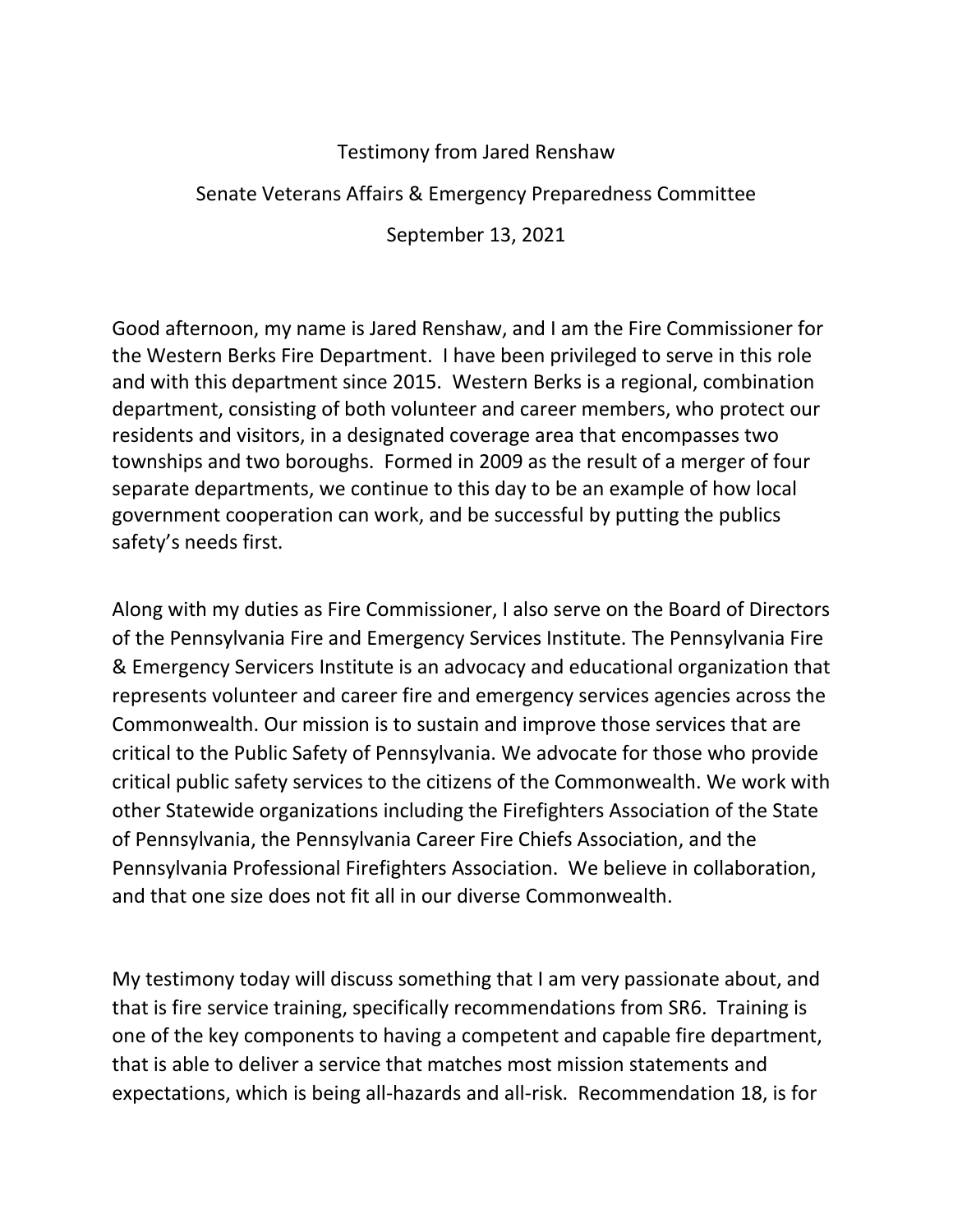## Testimony from Jared Renshaw

## Senate Veterans Affairs & Emergency Preparedness Committee

September 13, 2021

Good afternoon, my name is Jared Renshaw, and I am the Fire Commissioner for the Western Berks Fire Department. I have been privileged to serve in this role and with this department since 2015. Western Berks is a regional, combination department, consisting of both volunteer and career members, who protect our residents and visitors, in a designated coverage area that encompasses two townships and two boroughs. Formed in 2009 as the result of a merger of four separate departments, we continue to this day to be an example of how local government cooperation can work, and be successful by putting the publics safety's needs first.

Along with my duties as Fire Commissioner, I also serve on the Board of Directors of the Pennsylvania Fire and Emergency Services Institute. The Pennsylvania Fire & Emergency Servicers Institute is an advocacy and educational organization that represents volunteer and career fire and emergency services agencies across the Commonwealth. Our mission is to sustain and improve those services that are critical to the Public Safety of Pennsylvania. We advocate for those who provide critical public safety services to the citizens of the Commonwealth. We work with other Statewide organizations including the Firefighters Association of the State of Pennsylvania, the Pennsylvania Career Fire Chiefs Association, and the Pennsylvania Professional Firefighters Association. We believe in collaboration, and that one size does not fit all in our diverse Commonwealth.

My testimony today will discuss something that I am very passionate about, and that is fire service training, specifically recommendations from SR6. Training is one of the key components to having a competent and capable fire department, that is able to deliver a service that matches most mission statements and expectations, which is being all-hazards and all-risk. Recommendation 18, is for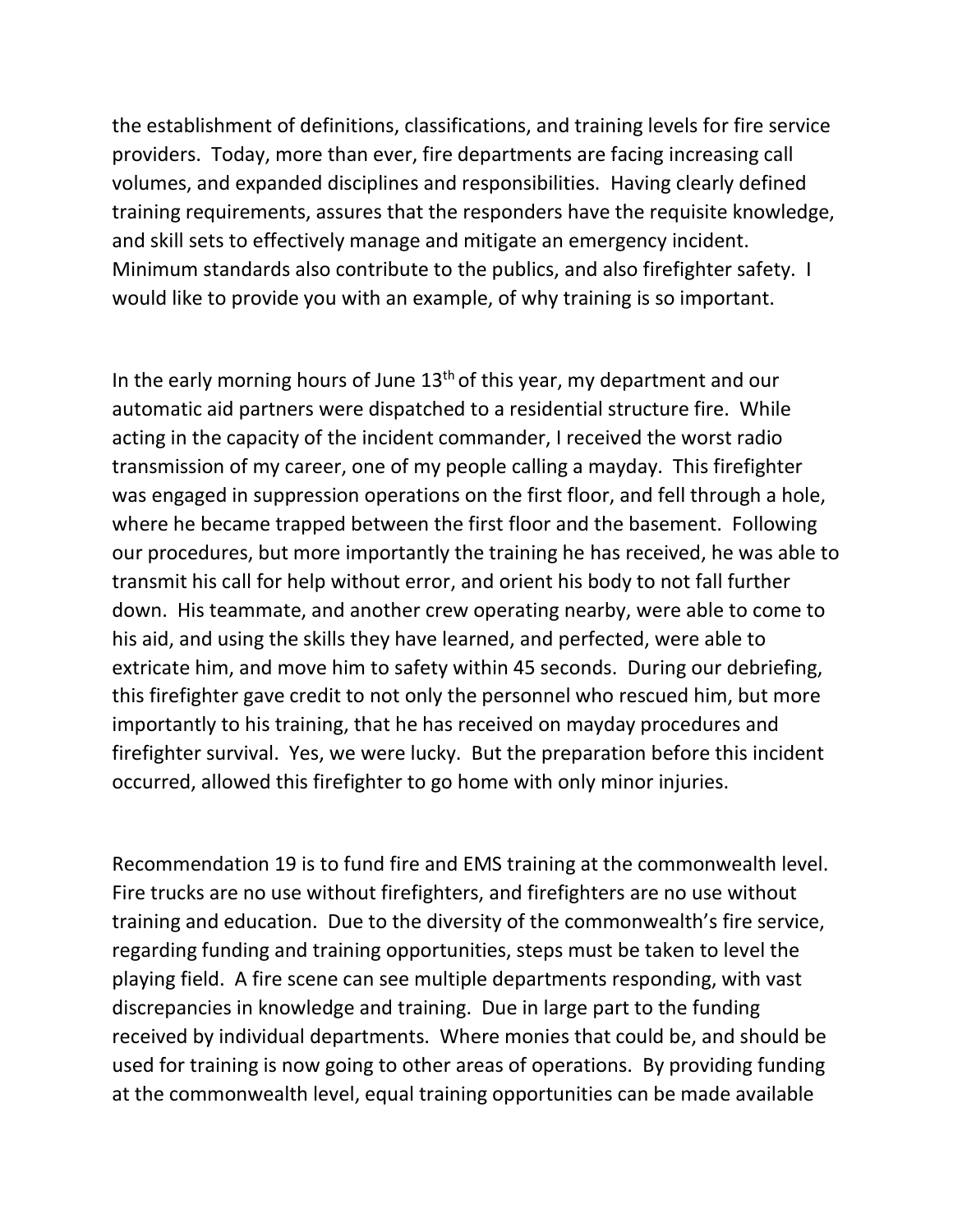the establishment of definitions, classifications, and training levels for fire service providers. Today, more than ever, fire departments are facing increasing call volumes, and expanded disciplines and responsibilities. Having clearly defined training requirements, assures that the responders have the requisite knowledge, and skill sets to effectively manage and mitigate an emergency incident. Minimum standards also contribute to the publics, and also firefighter safety. I would like to provide you with an example, of why training is so important.

In the early morning hours of June  $13<sup>th</sup>$  of this year, my department and our automatic aid partners were dispatched to a residential structure fire. While acting in the capacity of the incident commander, I received the worst radio transmission of my career, one of my people calling a mayday. This firefighter was engaged in suppression operations on the first floor, and fell through a hole, where he became trapped between the first floor and the basement. Following our procedures, but more importantly the training he has received, he was able to transmit his call for help without error, and orient his body to not fall further down. His teammate, and another crew operating nearby, were able to come to his aid, and using the skills they have learned, and perfected, were able to extricate him, and move him to safety within 45 seconds. During our debriefing, this firefighter gave credit to not only the personnel who rescued him, but more importantly to his training, that he has received on mayday procedures and firefighter survival. Yes, we were lucky. But the preparation before this incident occurred, allowed this firefighter to go home with only minor injuries.

Recommendation 19 is to fund fire and EMS training at the commonwealth level. Fire trucks are no use without firefighters, and firefighters are no use without training and education. Due to the diversity of the commonwealth's fire service, regarding funding and training opportunities, steps must be taken to level the playing field. A fire scene can see multiple departments responding, with vast discrepancies in knowledge and training. Due in large part to the funding received by individual departments. Where monies that could be, and should be used for training is now going to other areas of operations. By providing funding at the commonwealth level, equal training opportunities can be made available